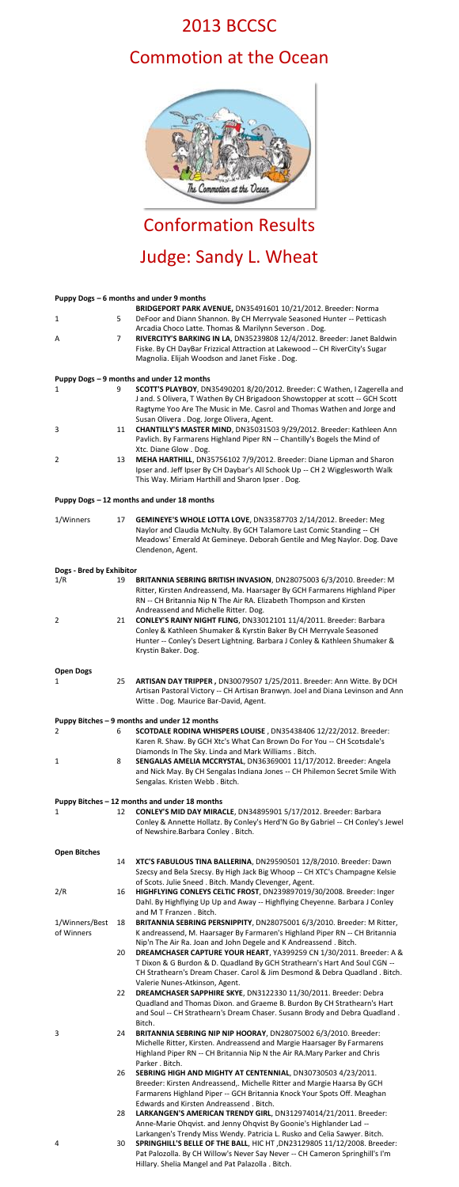## 2013 BCCSC

## Commotion at the Ocean



# Conformation Results Judge: Sandy L. Wheat

### **Puppy Dogs – 6 months and under 9 months** 1 5 **BRIDGEPORT PARK AVENUE,** DN35491601 10/21/2012. Breeder: Norma DeFoor and Diann Shannon. By CH Merryvale Seasoned Hunter -- Petticash Arcadia Choco Latte. Thomas & Marilynn Severson . Dog. A 7 **RIVERCITY'S BARKING IN LA**, DN35239808 12/4/2012. Breeder: Janet Baldwin Fiske. By CH DayBar Frizzical Attraction at Lakewood -- CH RiverCity's Sugar Magnolia. Elijah Woodson and Janet Fiske . Dog. **Puppy Dogs – 9 months and under 12 months** 1 9 **SCOTT'S PLAYBOY**, DN35490201 8/20/2012. Breeder: C Wathen, I Zagerella and J and. S Olivera, T Wathen By CH Brigadoon Showstopper at scott -- GCH Scott Ragtyme Yoo Are The Music in Me. Casrol and Thomas Wathen and Jorge and Susan Olivera . Dog. Jorge Olivera, Agent. 3 11 **CHANTILLY'S MASTER MIND**, DN35031503 9/29/2012. Breeder: Kathleen Ann Pavlich. By Farmarens Highland Piper RN -- Chantilly's Bogels the Mind of Xtc. Diane Glow . Dog. 2 13 **MEHA HARTHILL**, DN35756102 7/9/2012. Breeder: Diane Lipman and Sharon Ipser and. Jeff Ipser By CH Daybar's All Schook Up -- CH 2 Wigglesworth Walk This Way. Miriam Harthill and Sharon Ipser . Dog. **Puppy Dogs – 12 months and under 18 months** 1/Winners 17 **GEMINEYE'S WHOLE LOTTA LOVE**, DN33587703 2/14/2012. Breeder: Meg Naylor and Claudia McNulty. By GCH Talamore Last Comic Standing -- CH Meadows' Emerald At Gemineye. Deborah Gentile and Meg Naylor. Dog. Dave Clendenon, Agent.

#### **Dogs - Bred by Exhibitor**

| 1/R | 19 | BRITANNIA SEBRING BRITISH INVASION, DN28075003 6/3/2010. Breeder: M                                |
|-----|----|----------------------------------------------------------------------------------------------------|
|     |    | Ritter, Kirsten Andreassend, Ma. Haarsager By GCH Farmarens Highland Piper                         |
|     |    | RN -- CH Britannia Nip N The Air RA. Elizabeth Thompson and Kirsten                                |
|     |    | Andreassend and Michelle Ritter. Dog.                                                              |
| 2   | 21 | CONLEY'S RAINY NIGHT FLING, DN33012101 11/4/2011. Breeder: Barbara                                 |
|     |    | Conley & Kathleen Shumaker & Kyrstin Baker By CH Merryvale Seasoned                                |
|     |    | Hunter -- Conley's Desert Lightning. Barbara J Conley & Kathleen Shumaker &<br>Krystin Baker. Dog. |
|     |    |                                                                                                    |

|                | - |  |
|----------------|---|--|
|                |   |  |
|                |   |  |
| $\overline{ }$ |   |  |

1 25 **ARTISAN DAY TRIPPER ,** DN30079507 1/25/2011. Breeder: Ann Witte. By DCH Artisan Pastoral Victory -- CH Artisan Branwyn. Joel and Diana Levinson and Ann Witte . Dog. Maurice Bar-David, Agent.

#### **Puppy Bitches – 9 months and under 12 months**

- 
- 2 6 **SCOTDALE RODINA WHISPERS LOUISE** , DN35438406 12/22/2012. Breeder: Karen R. Shaw. By GCH Xtc's What Can Brown Do For You -- CH Scotsdale's Diamonds In The Sky. Linda and Mark Williams . Bitch.
- 
- 1 8 **SENGALAS AMELIA MCCRYSTAL**, DN36369001 11/17/2012. Breeder: Angela and Nick May. By CH Sengalas Indiana Jones -- CH Philemon Secret Smile With Sengalas. Kristen Webb . Bitch.

#### **Puppy Bitches – 12 months and under 18 months**

- 
- 1 12 **CONLEY'S MID DAY MIRACLE**, DN34895901 5/17/2012. Breeder: Barbara
	- Conley & Annette Hollatz. By Conley's Herd'N Go By Gabriel -- CH Conley's Jewel of Newshire.Barbara Conley . Bitch.

#### **Open Bitches**

- 14 **XTC'S FABULOUS TINA BALLERINA**, DN29590501 12/8/2010. Breeder: Dawn Szecsy and Bela Szecsy. By High Jack Big Whoop -- CH XTC's Champagne Kelsie of Scots. Julie Sneed . Bitch. Mandy Clevenger, Agent.
- 2/R 16 **HIGHFLYING CONLEYS CELTIC FROST**, DN239897019/30/2008. Breeder: Inger Dahl. By Highflying Up Up and Away -- Highflying Cheyenne. Barbara J Conley and M T Franzen . Bitch.
- 1/Winners/Best of Winners 18 **BRITANNIA SEBRING PERSNIPPITY**, DN28075001 6/3/2010. Breeder: M Ritter, K andreassend, M. Haarsager By Farmaren's Highland Piper RN -- CH Britannia Nip'n The Air Ra. Joan and John Degele and K Andreassend . Bitch.
	- 20 **DREAMCHASER CAPTURE YOUR HEART**, YA399259 CN 1/30/2011. Breeder: A & T Dixon & G Burdon & D. Quadland By GCH Strathearn's Hart And Soul CGN -- CH Strathearn's Dream Chaser. Carol & Jim Desmond & Debra Quadland . Bitch. Valerie Nunes-Atkinson, Agent.
	- 22 **DREAMCHASER SAPPHIRE SKYE**, DN3122330 11/30/2011. Breeder: Debra Quadland and Thomas Dixon. and Graeme B. Burdon By CH Strathearn's Hart and Soul -- CH Strathearn's Dream Chaser. Susann Brody and Debra Quadland . Bitch.
- 3 24 **BRITANNIA SEBRING NIP NIP HOORAY**, DN28075002 6/3/2010. Breeder: Michelle Ritter, Kirsten. Andreassend and Margie Haarsager By Farmarens Highland Piper RN -- CH Britannia Nip N the Air RA.Mary Parker and Chris Parker . Bitch.
	- 26 **SEBRING HIGH AND MIGHTY AT CENTENNIAL**, DN30730503 4/23/2011. Breeder: Kirsten Andreassend,. Michelle Ritter and Margie Haarsa By GCH Farmarens Highland Piper -- GCH Britannia Knock Your Spots Off. Meaghan Edwards and Kirsten Andreassend . Bitch.
	- 28 **LARKANGEN'S AMERICAN TRENDY GIRL**, DN312974014/21/2011. Breeder: Anne-Marie Ohqvist. and Jenny Ohqvist By Goonie's Highlander Lad -- Larkangen's Trendy Miss Wendy. Patricia L. Rusko and Celia Sawyer. Bitch.
- 4 30 **SPRINGHILL'S BELLE OF THE BALL**, HIC HT ,DN23129805 11/12/2008. Breeder: Pat Palozolla. By CH Willow's Never Say Never -- CH Cameron Springhill's I'm Hillary. Shelia Mangel and Pat Palazolla . Bitch.